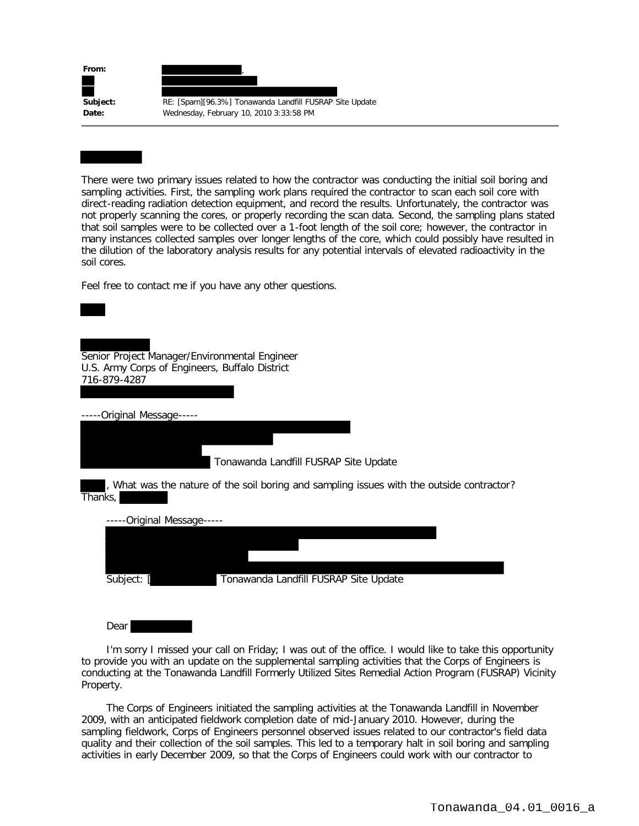| Subject: |                                                                                                    |
|----------|----------------------------------------------------------------------------------------------------|
| Date:    | RE: [Spam][96.3%] Tonawanda Landfill FUSRAP Site Update<br>Wednesday, February 10, 2010 3:33:58 PM |

There were two primary issues related to how the contractor was conducting the initial soil boring and sampling activities. First, the sampling work plans required the contractor to scan each soil core with direct-reading radiation detection equipment, and record the results. Unfortunately, the contractor was not properly scanning the cores, or properly recording the scan data. Second, the sampling plans stated that soil samples were to be collected over a 1-foot length of the soil core; however, the contractor in many instances collected samples over longer lengths of the core, which could possibly have resulted in the dilution of the laboratory analysis results for any potential intervals of elevated radioactivity in the soil cores.

Feel free to contact me if you have any other questions.

Senior Project Manager/Environmental Engineer U.S. Army Corps of Engineers, Buffalo District 716-879-4287

-----Original Message-----

Tonawanda Landfill FUSRAP Site Update

, What was the nature of the soil boring and sampling issues with the outside contractor? Thanks,

| -----Original Message----- |                                       |  |
|----------------------------|---------------------------------------|--|
|                            |                                       |  |
|                            |                                       |  |
|                            |                                       |  |
| Subject:                   | Tonawanda Landfill FUSRAP Site Update |  |
|                            |                                       |  |

**Dear** 

 I'm sorry I missed your call on Friday; I was out of the office. I would like to take this opportunity to provide you with an update on the supplemental sampling activities that the Corps of Engineers is conducting at the Tonawanda Landfill Formerly Utilized Sites Remedial Action Program (FUSRAP) Vicinity Property.

 The Corps of Engineers initiated the sampling activities at the Tonawanda Landfill in November 2009, with an anticipated fieldwork completion date of mid-January 2010. However, during the sampling fieldwork, Corps of Engineers personnel observed issues related to our contractor's field data quality and their collection of the soil samples. This led to a temporary halt in soil boring and sampling activities in early December 2009, so that the Corps of Engineers could work with our contractor to